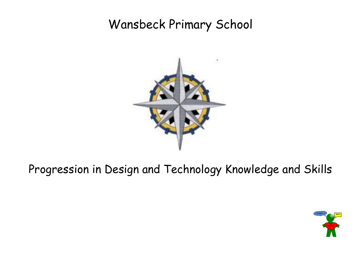## Wansbeck Primary School



## Progression in Design and Technology Knowledge and Skills

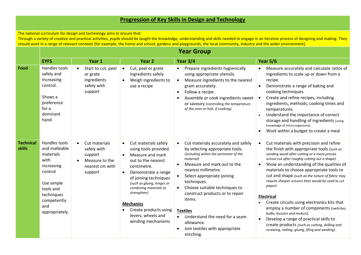## **Progression of Key Skills in Design and Technology**

The national curriculum for design and technology aims to ensure that:

Through a variety of creative and practical activities, pupils should be taught the knowledge, understanding and skills needed to engage in an iterative process of designing and making. They should work in a range of relevant contexts [for example, the home and school, gardens and playgrounds, the local community, industry and the wider environment].

|                            | <b>Year Group</b>                                                                                                                                             |                                                                                         |                                                                                                                                                                                                                                                                                                                                                                    |                                                                                                                                                                                                                                                                                                                                                                                                                                                             |                                                                                                                                                                                                                                                                                                                                                                                                                                                                                                                                                                                                                                                                                                                                            |  |  |
|----------------------------|---------------------------------------------------------------------------------------------------------------------------------------------------------------|-----------------------------------------------------------------------------------------|--------------------------------------------------------------------------------------------------------------------------------------------------------------------------------------------------------------------------------------------------------------------------------------------------------------------------------------------------------------------|-------------------------------------------------------------------------------------------------------------------------------------------------------------------------------------------------------------------------------------------------------------------------------------------------------------------------------------------------------------------------------------------------------------------------------------------------------------|--------------------------------------------------------------------------------------------------------------------------------------------------------------------------------------------------------------------------------------------------------------------------------------------------------------------------------------------------------------------------------------------------------------------------------------------------------------------------------------------------------------------------------------------------------------------------------------------------------------------------------------------------------------------------------------------------------------------------------------------|--|--|
|                            | <b>EYFS</b>                                                                                                                                                   | Year 1                                                                                  | Year <sub>2</sub>                                                                                                                                                                                                                                                                                                                                                  | Year 3/4                                                                                                                                                                                                                                                                                                                                                                                                                                                    | <b>Year 5/6</b>                                                                                                                                                                                                                                                                                                                                                                                                                                                                                                                                                                                                                                                                                                                            |  |  |
| Food                       | Handles tools<br>safely and<br>increasing<br>control.<br>Shows a<br>preference<br>for a<br>dominant<br>hand.                                                  | Start to cut, peel<br>or grate<br>ingredients<br>safely with<br>support                 | Cut, peel or grate<br>$\bullet$<br>ingredients safely<br>Weigh ingredients to<br>$\bullet$<br>use a recipe                                                                                                                                                                                                                                                         | Prepare ingredients hygienically<br>$\bullet$<br>using appropriate utensils.<br>Measure ingredients to the nearest<br>$\bullet$<br>gram accurately.<br>Follow a recipe.<br>Assemble or cook ingredients sweet<br>or savoury (controlling the temperature<br>of the oven or hob, if cooking).                                                                                                                                                                | Measure accurately and calculate ratios of<br>$\bullet$<br>ingredients to scale up or down from a<br>recipe.<br>Demonstrate a range of baking and<br>cooking techniques.<br>Create and refine recipes, including<br>$\bullet$<br>ingredients, methods, cooking times and<br>temperatures.<br>Understand the importance of correct<br>storage and handling of ingredients (using<br>knowledge of micro-organisms).<br>Work within a budget to create a meal<br>$\bullet$                                                                                                                                                                                                                                                                    |  |  |
| <b>Technical</b><br>skills | Handles tools<br>and malleable<br>materials<br>with<br>increasing<br>control<br>Use simple<br>tools and<br>techniques<br>competently<br>and<br>appropriately. | Cut materials<br>safely with<br>support<br>Measure to the<br>nearest cm with<br>support | Cut materials safely<br>$\bullet$<br>using tools provided.<br>Measure and mark<br>$\bullet$<br>out to the nearest<br>centimetre.<br>Demonstrate a range<br>$\bullet$<br>of joining techniques<br>(such as gluing, hinges or<br>combining materials to<br>strengthen)<br><b>Mechanics</b><br>Create products using<br>٠<br>levers, wheels and<br>winding mechanisms | Cut materials accurately and safely<br>$\bullet$<br>by selecting appropriate tools.<br>(including within the perimeter of the<br>material)<br>Measure and mark out to the<br>nearest millimetre.<br>Select appropriate joining<br>techniques.<br>Choose suitable techniques to<br>$\bullet$<br>construct products or to repair<br>items.<br><b>Textiles</b><br>Understand the need for a seam<br>allowance.<br>Join textiles with appropriate<br>stitching. | Cut materials with precision and refine<br>$\bullet$<br>the finish with appropriate tools (such as<br>sanding wood after cutting or a more precise<br>scissor cut after roughly cutting out a shape).<br>Show an understanding of the qualities of<br>$\bullet$<br>materials to choose appropriate tools to<br>cut and shape (such as the nature of fabric may<br>require sharper scissors than would be used to cut<br>paper).<br><b>Electrical</b><br>Create circuits using electronics kits that<br>employ a number of components (switches,<br>bulbs, buzzers and motors).<br>Develop a range of practical skills to<br>$\bullet$<br>create products (such as cutting, drilling and<br>screwing, nailing, gluing, filing and sanding). |  |  |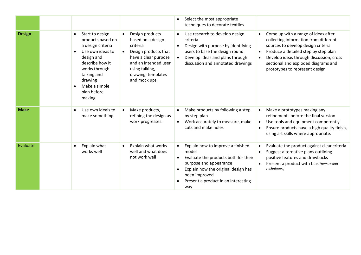|               |           |                                                                                                                                                                                                     |                        |                                                                                                                                                                                  | $\bullet$              | Select the most appropriate<br>techniques to decorate textiles                                                                                                                                                     |                                     |                                                                                                                                                                                                                                                                                |
|---------------|-----------|-----------------------------------------------------------------------------------------------------------------------------------------------------------------------------------------------------|------------------------|----------------------------------------------------------------------------------------------------------------------------------------------------------------------------------|------------------------|--------------------------------------------------------------------------------------------------------------------------------------------------------------------------------------------------------------------|-------------------------------------|--------------------------------------------------------------------------------------------------------------------------------------------------------------------------------------------------------------------------------------------------------------------------------|
| <b>Design</b> | $\bullet$ | Start to design<br>products based on<br>a design criteria<br>Use own ideas to<br>design and<br>describe how it<br>works through<br>talking and<br>drawing<br>Make a simple<br>plan before<br>making | $\bullet$<br>$\bullet$ | Design products<br>based on a design<br>criteria<br>Design products that<br>have a clear purpose<br>and an intended user<br>using talking,<br>drawing, templates<br>and mock ups | $\bullet$              | Use research to develop design<br>criteria<br>Design with purpose by identifying<br>users to base the design round<br>Develop ideas and plans through<br>discussion and annotated drawings                         | $\bullet$<br>$\bullet$<br>$\bullet$ | Come up with a range of ideas after<br>collecting information from different<br>sources to develop design criteria<br>Produce a detailed step by step plan<br>Develop ideas through discussion, cross<br>sectional and exploded diagrams and<br>prototypes to represent design |
| <b>Make</b>   |           | Use own ideals to<br>make something                                                                                                                                                                 | $\bullet$              | Make products,<br>refining the design as<br>work progresses.                                                                                                                     | $\bullet$<br>$\bullet$ | Make products by following a step<br>by step plan<br>Work accurately to measure, make<br>cuts and make holes                                                                                                       | $\bullet$<br>$\bullet$<br>$\bullet$ | Make a prototypes making any<br>refinements before the final version<br>Use tools and equipment competently<br>Ensure products have a high quality finish,<br>using art skills where appropriate.                                                                              |
| Evaluate      |           | Explain what<br>works well                                                                                                                                                                          | $\bullet$              | Explain what works<br>well and what does<br>not work well                                                                                                                        | $\bullet$              | Explain how to improve a finished<br>model<br>Evaluate the products both for their<br>purpose and appearance<br>Explain how the original design has<br>been improved<br>Present a product in an interesting<br>way | $\bullet$<br>$\bullet$<br>$\bullet$ | Evaluate the product against clear criteria<br>Suggest alternative plans outlining<br>positive features and drawbacks<br>Present a product with bias (persuasion<br>techniques)                                                                                                |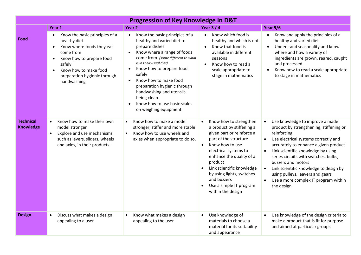| <b>Progression of Key Knowledge in D&amp;T</b> |                                                                                                                                                                                                                                                |                                                                                                                                                                                                                                                                                                                                                                                                              |                                                                                                                                                                                                                                                                                                                                                 |                                                                                                                                                                                                                                                                                                                                                                                                                                                              |  |  |  |  |
|------------------------------------------------|------------------------------------------------------------------------------------------------------------------------------------------------------------------------------------------------------------------------------------------------|--------------------------------------------------------------------------------------------------------------------------------------------------------------------------------------------------------------------------------------------------------------------------------------------------------------------------------------------------------------------------------------------------------------|-------------------------------------------------------------------------------------------------------------------------------------------------------------------------------------------------------------------------------------------------------------------------------------------------------------------------------------------------|--------------------------------------------------------------------------------------------------------------------------------------------------------------------------------------------------------------------------------------------------------------------------------------------------------------------------------------------------------------------------------------------------------------------------------------------------------------|--|--|--|--|
|                                                | Year 1                                                                                                                                                                                                                                         | Year <sub>2</sub>                                                                                                                                                                                                                                                                                                                                                                                            | <b>Year 3/4</b>                                                                                                                                                                                                                                                                                                                                 | <b>Year 5/6</b>                                                                                                                                                                                                                                                                                                                                                                                                                                              |  |  |  |  |
| Food                                           | Know the basic principles of a<br>healthy diet.<br>Know where foods they eat<br>$\bullet$<br>come from<br>Know how to prepare food<br>$\bullet$<br>safely<br>Know how to make food<br>$\bullet$<br>preparation hygienic through<br>handwashing | Know the basic principles of a<br>$\bullet$<br>healthy and varied diet to<br>prepare dishes.<br>Know where a range of foods<br>come from (some different to what<br>is in their usual diet)<br>Know how to prepare food<br>safely<br>Know how to make food<br>$\bullet$<br>preparation hygienic through<br>handwashing and utensils<br>being clean.<br>Know how to use basic scales<br>on weighing equipment | Know which food is<br>$\bullet$<br>healthy and which is not<br>Know that food is<br>$\bullet$<br>available in different<br>seasons<br>Know how to read a<br>$\bullet$<br>scale appropriate to<br>stage in mathematics                                                                                                                           | Know and apply the principles of a<br>healthy and varied diet<br>Understand seasonality and know<br>$\bullet$<br>where and how a variety of<br>ingredients are grown, reared, caught<br>and processed.<br>Know how to read a scale appropriate<br>to stage in mathematics                                                                                                                                                                                    |  |  |  |  |
| <b>Technical</b><br><b>Knowledge</b>           | Know how to make their own<br>$\bullet$<br>model stronger<br>Explore and use mechanisms,<br>$\bullet$<br>such as levers, sliders, wheels<br>and axles, in their products.                                                                      | Know how to make a model<br>stronger, stiffer and more stable<br>Know how to use wheels and<br>$\bullet$<br>axles when appropriate to do so.                                                                                                                                                                                                                                                                 | Know how to strengthen<br>$\bullet$<br>a product by stiffening a<br>given part or reinforce a<br>part of the structure<br>Know how to use<br>$\bullet$<br>electrical systems to<br>enhance the quality of a<br>product<br>Link scientific knowledge<br>by using lights, switches<br>and buzzers<br>Use a simple IT program<br>within the design | Use knowledge to improve a made<br>$\bullet$<br>product by strengthening, stiffening or<br>reinforcing<br>Use electrical systems correctly and<br>$\bullet$<br>accurately to enhance a given product<br>Link scientific knowledge by using<br>$\bullet$<br>series circuits with switches, bulbs,<br>buzzers and motors<br>• Link scientific knowledge to design by<br>using pulleys, leavers and gears<br>Use a more complex IT program within<br>the design |  |  |  |  |
| <b>Design</b>                                  | Discuss what makes a design<br>$\bullet$<br>appealing to a user                                                                                                                                                                                | Know what makes a design<br>$\bullet$<br>appealing to the user                                                                                                                                                                                                                                                                                                                                               | Use knowledge of<br>$\bullet$<br>materials to choose a<br>material for its suitability<br>and appearance                                                                                                                                                                                                                                        | Use knowledge of the design criteria to<br>make a product that is fit for purpose<br>and aimed at particular groups                                                                                                                                                                                                                                                                                                                                          |  |  |  |  |